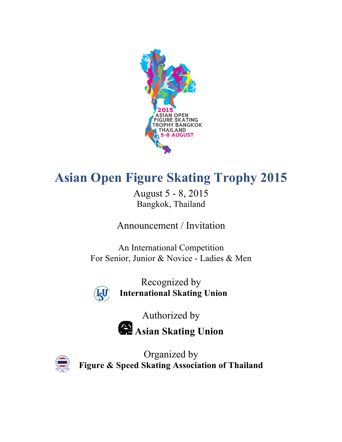

# **Asian Open Figure Skating Trophy 2015**

August 5 - 8, 2015 Bangkok, Thailand

Announcement / Invitation

An International Competition For Senior, Junior & Novice - Ladies & Men



Recognized by **International Skating Union**

Authorized by

**Asian Skating Union**



Organized by **Figure & Speed Skating Association of Thailand**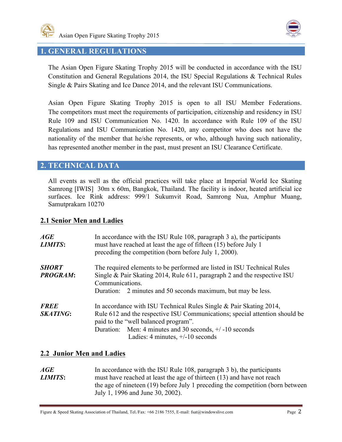



## **1. GENERAL REGULATIONS**

The Asian Open Figure Skating Trophy 2015 will be conducted in accordance with the ISU Constitution and General Regulations 2014, the ISU Special Regulations & Technical Rules Single & Pairs Skating and Ice Dance 2014, and the relevant ISU Communications.

Asian Open Figure Skating Trophy 2015 is open to all ISU Member Federations. The competitors must meet the requirements of participation, citizenship and residency in ISU Rule 109 and ISU Communication No. 1420. In accordance with Rule 109 of the ISU Regulations and ISU Communication No. 1420, any competitor who does not have the nationality of the member that he/she represents, or who, although having such nationality, has represented another member in the past, must present an ISU Clearance Certificate.

## **2. TECHNICAL DATA**

All events as well as the official practices will take place at Imperial World Ice Skating Samrong [IWIS] 30m x 60m, Bangkok, Thailand. The facility is indoor, heated artificial ice surfaces. Ice Rink address: 999/1 Sukumvit Road, Samrong Nua, Amphur Muang, Samutprakarn 10270

## **2.1 Senior Men and Ladies**

| AGE<br><b>LIMITS:</b>           | In accordance with the ISU Rule 108, paragraph 3 a), the participants<br>must have reached at least the age of fifteen (15) before July 1<br>preceding the competition (born before July 1, 2000).                                                                                             |
|---------------------------------|------------------------------------------------------------------------------------------------------------------------------------------------------------------------------------------------------------------------------------------------------------------------------------------------|
| <b>SHORT</b><br><b>PROGRAM:</b> | The required elements to be performed are listed in ISU Technical Rules<br>Single $\&$ Pair Skating 2014, Rule 611, paragraph 2 and the respective ISU<br>Communications.<br>Duration: 2 minutes and 50 seconds maximum, but may be less.                                                      |
| <b>FREE</b><br><b>SKATING:</b>  | In accordance with ISU Technical Rules Single $\&$ Pair Skating 2014,<br>Rule 612 and the respective ISU Communications; special attention should be<br>paid to the "well balanced program".<br>Duration: Men: 4 minutes and 30 seconds, $+/-10$ seconds<br>Ladies: 4 minutes, $+/-10$ seconds |

## **2.2 Junior Men and Ladies**

*AGE* In accordance with the ISU Rule 108, paragraph 3 b), the participants *LIMITS*: must have reached at least the age of thirteen (13) and have not reach the age of nineteen (19) before July 1 preceding the competition (born between July 1, 1996 and June 30, 2002).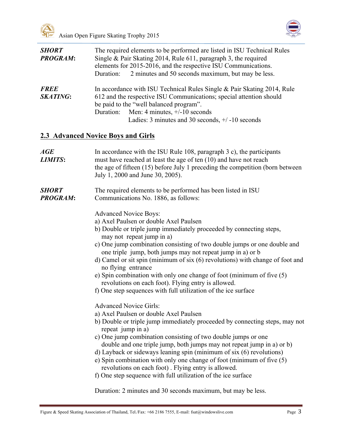



| <b>SHORT</b><br><b>PROGRAM:</b> | The required elements to be performed are listed in ISU Technical Rules<br>Single & Pair Skating 2014, Rule 611, paragraph 3, the required<br>elements for 2015-2016, and the respective ISU Communications.<br>2 minutes and 50 seconds maximum, but may be less.<br>Duration:                                                                                                                                                                                                                                                                                                                                                 |
|---------------------------------|---------------------------------------------------------------------------------------------------------------------------------------------------------------------------------------------------------------------------------------------------------------------------------------------------------------------------------------------------------------------------------------------------------------------------------------------------------------------------------------------------------------------------------------------------------------------------------------------------------------------------------|
| <b>FREE</b><br><b>SKATING:</b>  | In accordance with ISU Technical Rules Single & Pair Skating 2014, Rule<br>612 and the respective ISU Communications; special attention should<br>be paid to the "well balanced program".<br>Men: 4 minutes, $+/-10$ seconds<br>Duration:<br>Ladies: 3 minutes and 30 seconds, $+/-10$ seconds                                                                                                                                                                                                                                                                                                                                  |
|                                 | <b>2.3 Advanced Novice Boys and Girls</b>                                                                                                                                                                                                                                                                                                                                                                                                                                                                                                                                                                                       |
| AGE<br><b>LIMITS:</b>           | In accordance with the ISU Rule $108$ , paragraph $3$ c), the participants<br>must have reached at least the age of ten (10) and have not reach<br>the age of fifteen (15) before July 1 preceding the competition (born between<br>July 1, 2000 and June 30, 2005).                                                                                                                                                                                                                                                                                                                                                            |
| <b>SHORT</b><br><b>PROGRAM:</b> | The required elements to be performed has been listed in ISU<br>Communications No. 1886, as follows:                                                                                                                                                                                                                                                                                                                                                                                                                                                                                                                            |
|                                 | <b>Advanced Novice Boys:</b><br>a) Axel Paulsen or double Axel Paulsen<br>b) Double or triple jump immediately proceeded by connecting steps,<br>may not repeat jump in a)<br>c) One jump combination consisting of two double jumps or one double and<br>one triple jump, both jumps may not repeat jump in a) or b<br>d) Camel or sit spin (minimum of six $(6)$ revolutions) with change of foot and<br>no flying entrance<br>e) Spin combination with only one change of foot (minimum of five (5)<br>revolutions on each foot). Flying entry is allowed.<br>f) One step sequences with full utilization of the ice surface |
|                                 | <b>Advanced Novice Girls:</b><br>a) Axel Paulsen or double Axel Paulsen<br>b) Double or triple jump immediately proceeded by connecting steps, may not<br>repeat jump in a)<br>c) One jump combination consisting of two double jumps or one<br>double and one triple jump, both jumps may not repeat jump in a) or b)<br>d) Layback or sideways leaning spin (minimum of six (6) revolutions)<br>e) Spin combination with only one change of foot (minimum of five (5)<br>revolutions on each foot). Flying entry is allowed.<br>f) One step sequence with full utilization of the ice surface                                 |

Duration: 2 minutes and 30 seconds maximum, but may be less.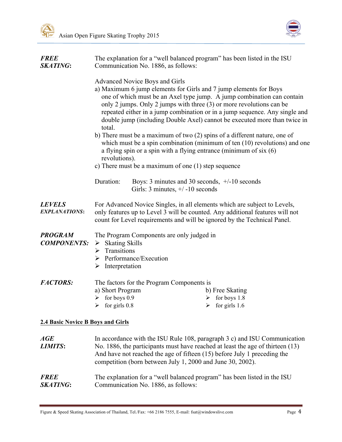

| <b>FREE</b><br><b>SKATING:</b>           | The explanation for a "well balanced program" has been listed in the ISU<br>Communication No. 1886, as follows:<br>Advanced Novice Boys and Girls<br>a) Maximum 6 jump elements for Girls and 7 jump elements for Boys<br>one of which must be an Axel type jump. A jump combination can contain<br>only 2 jumps. Only 2 jumps with three (3) or more revolutions can be<br>repeated either in a jump combination or in a jump sequence. Any single and<br>double jump (including Double Axel) cannot be executed more than twice in<br>total.<br>b) There must be a maximum of two (2) spins of a different nature, one of<br>which must be a spin combination (minimum of ten $(10)$ revolutions) and one<br>a flying spin or a spin with a flying entrance (minimum of six $(6)$ )<br>revolutions). |                                                                                      |                                                            |
|------------------------------------------|--------------------------------------------------------------------------------------------------------------------------------------------------------------------------------------------------------------------------------------------------------------------------------------------------------------------------------------------------------------------------------------------------------------------------------------------------------------------------------------------------------------------------------------------------------------------------------------------------------------------------------------------------------------------------------------------------------------------------------------------------------------------------------------------------------|--------------------------------------------------------------------------------------|------------------------------------------------------------|
|                                          |                                                                                                                                                                                                                                                                                                                                                                                                                                                                                                                                                                                                                                                                                                                                                                                                        |                                                                                      |                                                            |
|                                          |                                                                                                                                                                                                                                                                                                                                                                                                                                                                                                                                                                                                                                                                                                                                                                                                        |                                                                                      |                                                            |
|                                          | c) There must be a maximum of one $(1)$ step sequence                                                                                                                                                                                                                                                                                                                                                                                                                                                                                                                                                                                                                                                                                                                                                  |                                                                                      |                                                            |
|                                          | Duration:                                                                                                                                                                                                                                                                                                                                                                                                                                                                                                                                                                                                                                                                                                                                                                                              | Boys: 3 minutes and 30 seconds, $+/-10$ seconds<br>Girls: 3 minutes, $+/-10$ seconds |                                                            |
| <b>LEVELS</b><br><b>EXPLANATIONS:</b>    | For Advanced Novice Singles, in all elements which are subject to Levels,<br>only features up to Level 3 will be counted. Any additional features will not<br>count for Level requirements and will be ignored by the Technical Panel.                                                                                                                                                                                                                                                                                                                                                                                                                                                                                                                                                                 |                                                                                      |                                                            |
| <b>PROGRAM</b><br><b>COMPONENTS:</b>     | The Program Components are only judged in<br>$\triangleright$ Skating Skills<br>$\triangleright$ Transitions<br>$\triangleright$ Performance/Execution<br>$\triangleright$ Interpretation                                                                                                                                                                                                                                                                                                                                                                                                                                                                                                                                                                                                              |                                                                                      |                                                            |
| <b>FACTORS:</b>                          | a) Short Program<br>$\triangleright$ for boys 0.9<br>$\triangleright$ for girls 0.8                                                                                                                                                                                                                                                                                                                                                                                                                                                                                                                                                                                                                                                                                                                    | The factors for the Program Components is                                            | b) Free Skating<br>for boys 1.8<br>➤<br>for girls 1.6<br>➤ |
| <b>2.4 Basic Novice B Boys and Girls</b> |                                                                                                                                                                                                                                                                                                                                                                                                                                                                                                                                                                                                                                                                                                                                                                                                        |                                                                                      |                                                            |

| AGE                            | In accordance with the ISU Rule 108, paragraph 3 c) and ISU Communication                                                                                                                                                |
|--------------------------------|--------------------------------------------------------------------------------------------------------------------------------------------------------------------------------------------------------------------------|
| <b>LIMITS:</b>                 | No. 1886, the participants must have reached at least the age of thirteen (13)<br>And have not reached the age of fifteen (15) before July 1 preceding the<br>competition (born between July 1, 2000 and June 30, 2002). |
| <b>FREE</b><br><b>SKATING:</b> | The explanation for a "well balanced program" has been listed in the ISU<br>Communication No. 1886, as follows:                                                                                                          |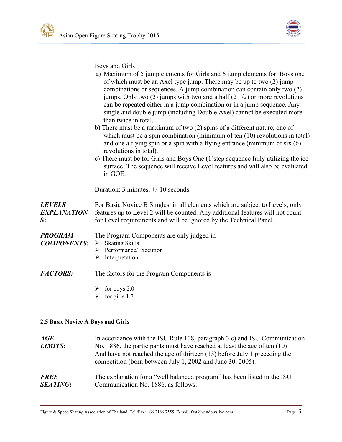

Boys and Girls

|                                           | a) Maximum of 5 jump elements for Girls and 6 jump elements for Boys one<br>of which must be an Axel type jump. There may be up to two (2) jump<br>combinations or sequences. A jump combination can contain only two (2)<br>jumps. Only two $(2)$ jumps with two and a half $(2\frac{1}{2})$ or more revolutions<br>can be repeated either in a jump combination or in a jump sequence. Any<br>single and double jump (including Double Axel) cannot be executed more<br>than twice in total.<br>b) There must be a maximum of two (2) spins of a different nature, one of<br>which must be a spin combination (minimum of ten $(10)$ revolutions in total)<br>and one a flying spin or a spin with a flying entrance (minimum of $six(6)$ )<br>revolutions in total).<br>c) There must be for Girls and Boys One (1) step sequence fully utilizing the ice<br>surface. The sequence will receive Level features and will also be evaluated<br>in GOE. |
|-------------------------------------------|---------------------------------------------------------------------------------------------------------------------------------------------------------------------------------------------------------------------------------------------------------------------------------------------------------------------------------------------------------------------------------------------------------------------------------------------------------------------------------------------------------------------------------------------------------------------------------------------------------------------------------------------------------------------------------------------------------------------------------------------------------------------------------------------------------------------------------------------------------------------------------------------------------------------------------------------------------|
|                                           | Duration: 3 minutes, $+/-10$ seconds                                                                                                                                                                                                                                                                                                                                                                                                                                                                                                                                                                                                                                                                                                                                                                                                                                                                                                                    |
| <b>LEVELS</b><br><b>EXPLANATION</b><br>S: | For Basic Novice B Singles, in all elements which are subject to Levels, only<br>features up to Level 2 will be counted. Any additional features will not count<br>for Level requirements and will be ignored by the Technical Panel.                                                                                                                                                                                                                                                                                                                                                                                                                                                                                                                                                                                                                                                                                                                   |
| <b>PROGRAM</b><br><b>COMPONENTS:</b>      | The Program Components are only judged in<br><b>Skating Skills</b><br>$\blacktriangleright$<br>Performance/Execution<br>➤<br>Interpretation<br>➤                                                                                                                                                                                                                                                                                                                                                                                                                                                                                                                                                                                                                                                                                                                                                                                                        |
| <b>FACTORS:</b>                           | The factors for the Program Components is                                                                                                                                                                                                                                                                                                                                                                                                                                                                                                                                                                                                                                                                                                                                                                                                                                                                                                               |
|                                           | $\triangleright$ for boys 2.0                                                                                                                                                                                                                                                                                                                                                                                                                                                                                                                                                                                                                                                                                                                                                                                                                                                                                                                           |

 $\triangleright$  for girls 1.7

#### **2.5 Basic Novice A Boys and Girls**

| $\boldsymbol{AGE}$<br><b>LIMITS:</b> | In accordance with the ISU Rule 108, paragraph 3 c) and ISU Communication<br>No. 1886, the participants must have reached at least the age of ten $(10)$<br>And have not reached the age of thirteen (13) before July 1 preceding the<br>competition (born between July 1, 2002 and June 30, 2005). |
|--------------------------------------|-----------------------------------------------------------------------------------------------------------------------------------------------------------------------------------------------------------------------------------------------------------------------------------------------------|
| <b>FREE</b>                          | The explanation for a "well balanced program" has been listed in the ISU                                                                                                                                                                                                                            |
| <b>SKATING:</b>                      | Communication No. 1886, as follows:                                                                                                                                                                                                                                                                 |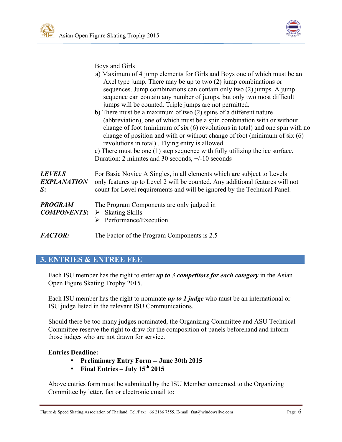

Boys and Girls

|                                                                      | a) Maximum of 4 jump elements for Girls and Boys one of which must be an<br>Axel type jump. There may be up to two $(2)$ jump combinations or<br>sequences. Jump combinations can contain only two (2) jumps. A jump<br>sequence can contain any number of jumps, but only two most difficult<br>jumps will be counted. Triple jumps are not permitted.<br>b) There must be a maximum of two $(2)$ spins of a different nature<br>(abbreviation), one of which must be a spin combination with or without<br>change of foot (minimum of six (6) revolutions in total) and one spin with no<br>change of position and with or without change of foot (minimum of six $(6)$ )<br>revolutions in total). Flying entry is allowed.<br>c) There must be one (1) step sequence with fully utilizing the ice surface.<br>Duration: 2 minutes and 30 seconds, $+/-10$ seconds |
|----------------------------------------------------------------------|-----------------------------------------------------------------------------------------------------------------------------------------------------------------------------------------------------------------------------------------------------------------------------------------------------------------------------------------------------------------------------------------------------------------------------------------------------------------------------------------------------------------------------------------------------------------------------------------------------------------------------------------------------------------------------------------------------------------------------------------------------------------------------------------------------------------------------------------------------------------------|
| <b>LEVELS</b><br><b>EXPLANATION</b><br>S:                            | For Basic Novice A Singles, in all elements which are subject to Levels<br>only features up to Level 2 will be counted. Any additional features will not<br>count for Level requirements and will be ignored by the Technical Panel.                                                                                                                                                                                                                                                                                                                                                                                                                                                                                                                                                                                                                                  |
| <b>PROGRAM</b><br><b>COMPONENTS:</b> $\triangleright$ Skating Skills | The Program Components are only judged in<br>Performance/Execution<br>➤                                                                                                                                                                                                                                                                                                                                                                                                                                                                                                                                                                                                                                                                                                                                                                                               |

*FACTOR:* The Factor of the Program Components is 2.5

# **3. ENTRIES & ENTREE FEE**

Each ISU member has the right to enter *up to 3 competitors for each category* in the Asian Open Figure Skating Trophy 2015.

Each ISU member has the right to nominate *up to 1 judge* who must be an international or ISU judge listed in the relevant ISU Communications.

Should there be too many judges nominated, the Organizing Committee and ASU Technical Committee reserve the right to draw for the composition of panels beforehand and inform those judges who are not drawn for service.

#### **Entries Deadline:**

- **Preliminary Entry Form -- June 30th 2015**
- **Final Entries – July 15th 2015**

Above entries form must be submitted by the ISU Member concerned to the Organizing Committee by letter, fax or electronic email to: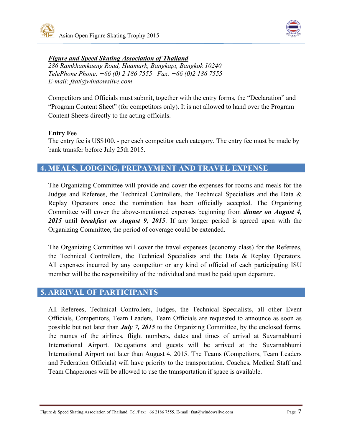



#### *Figure and Speed Skating Association of Thailand*

*286 Ramkhamkaeng Road, Huamark, Bangkapi, Bangkok 10240 TelePhone Phone: +66 (0) 2 186 7555 Fax: +66 (0)2 186 7555 E-mail: fsat@windowslive.com*

Competitors and Officials must submit, together with the entry forms, the "Declaration" and "Program Content Sheet" (for competitors only). It is not allowed to hand over the Program Content Sheets directly to the acting officials.

#### **Entry Fee**

The entry fee is US\$100. - per each competitor each category. The entry fee must be made by bank transfer before July 25th 2015.

# **4. MEALS, LODGING, PREPAYMENT AND TRAVEL EXPENSE**

The Organizing Committee will provide and cover the expenses for rooms and meals for the Judges and Referees, the Technical Controllers, the Technical Specialists and the Data & Replay Operators once the nomination has been officially accepted. The Organizing Committee will cover the above-mentioned expenses beginning from *dinner on August 4, 2015* until *breakfast on August 9, 2015*. If any longer period is agreed upon with the Organizing Committee, the period of coverage could be extended.

The Organizing Committee will cover the travel expenses (economy class) for the Referees, the Technical Controllers, the Technical Specialists and the Data & Replay Operators. All expenses incurred by any competitor or any kind of official of each participating ISU member will be the responsibility of the individual and must be paid upon departure.

# **5. ARRIVAL OF PARTICIPANTS**

All Referees, Technical Controllers, Judges, the Technical Specialists, all other Event Officials, Competitors, Team Leaders, Team Officials are requested to announce as soon as possible but not later than *July 7, 2015* to the Organizing Committee, by the enclosed forms, the names of the airlines, flight numbers, dates and times of arrival at Suvarnabhumi International Airport. Delegations and guests will be arrived at the Suvarnabhumi International Airport not later than August 4, 2015. The Teams (Competitors, Team Leaders and Federation Officials) will have priority to the transportation. Coaches, Medical Staff and Team Chaperones will be allowed to use the transportation if space is available.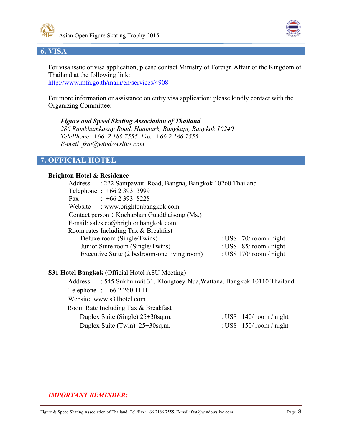



# **6. VISA**

For visa issue or visa application, please contact Ministry of Foreign Affair of the Kingdom of Thailand at the following link: http://www.mfa.go.th/main/en/services/4908

For more information or assistance on entry visa application; please kindly contact with the Organizing Committee:

#### *Figure and Speed Skating Association of Thailand*

*286 Ramkhamkaeng Road, Huamark, Bangkapi, Bangkok 10240 TelePhone: +66 2 186 7555 Fax: +66 2 186 7555 E-mail: fsat@windowslive.com*

# **7. OFFICIAL HOTEL**

#### **Brighton Hotel & Residence**

| Address : 222 Sampawut Road, Bangna, Bangkok 10260 Thailand |                            |
|-------------------------------------------------------------|----------------------------|
| Telephone: +66 2 393 3999                                   |                            |
| $\div$ +66 2 393 8228<br>Fax                                |                            |
| Website : www.brightonbangkok.com                           |                            |
| Contact person: Kochaphan Guadthaisong (Ms.)                |                            |
| E-mail: sales.co@brightonbangkok.com                        |                            |
| Room rates Including Tax & Breakfast                        |                            |
| Deluxe room (Single/Twins)                                  | : US\$ $70/$ room / night  |
| Junior Suite room (Single/Twins)                            | : US\$ $85/$ room / night  |
| Executive Suite (2 bedroom-one living room)                 | : US\$ $170/$ room / night |

#### **S31 Hotel Bangkok** (Official Hotel ASU Meeting)

Address : 545 Sukhumvit 31, Klongtoey-Nua,Wattana, Bangkok 10110 Thailand Telephone : + 66 2 260 1111 Website: www.s31hotel.com Room Rate Including Tax & Breakfast Duplex Suite (Single)  $25+30$ sq.m. : US\$ 140/ room / night Duplex Suite (Twin) 25+30sq.m. : US\$ 150/ room / night

## *IMPORTANT REMINDER:*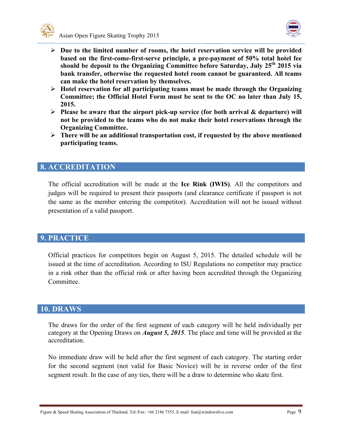



- Ø **Due to the limited number of rooms, the hotel reservation service will be provided based on the first-come-first-serve principle, a pre-payment of 50% total hotel fee should be deposit to the Organizing Committee before Saturday, July 25th 2015 via bank transfer, otherwise the requested hotel room cannot be guaranteed. All teams can make the hotel reservation by themselves.**
- Ø **Hotel reservation for all participating teams must be made through the Organizing Committee; the Official Hotel Form must be sent to the OC no later than July 15, 2015.**
- Ø **Please be aware that the airport pick-up service (for both arrival & departure) will not be provided to the teams who do not make their hotel reservations through the Organizing Committee.**
- Ø **There will be an additional transportation cost, if requested by the above mentioned participating teams.**

# **8. ACCREDITATION**

The official accreditation will be made at the **Ice Rink (IWIS)**. All the competitors and judges will be required to present their passports (and clearance certificate if passport is not the same as the member entering the competitor). Accreditation will not be issued without presentation of a valid passport.

#### **9. PRACTICE**

Official practices for competitors begin on August 5, 2015. The detailed schedule will be issued at the time of accreditation. According to ISU Regulations no competitor may practice in a rink other than the official rink or after having been accredited through the Organizing **Committee** 

## **10. DRAWS**

The draws for the order of the first segment of each category will be held individually per category at the Opening Draws on *August 5, 2015*. The place and time will be provided at the accreditation.

No immediate draw will be held after the first segment of each category. The starting order for the second segment (not valid for Basic Novice) will be in reverse order of the first segment result. In the case of any ties, there will be a draw to determine who skate first.

Figure & Speed Skating Association of Thailand, Tel./Fax: +66 2186 7555, E-mail: fsat@windowslive.com Page 9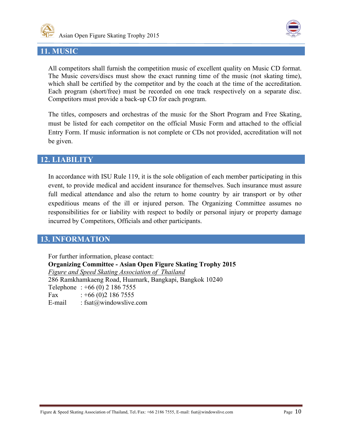



## **11. MUSIC**

All competitors shall furnish the competition music of excellent quality on Music CD format. The Music covers/discs must show the exact running time of the music (not skating time), which shall be certified by the competitor and by the coach at the time of the accreditation. Each program (short/free) must be recorded on one track respectively on a separate disc. Competitors must provide a back-up CD for each program.

The titles, composers and orchestras of the music for the Short Program and Free Skating, must be listed for each competitor on the official Music Form and attached to the official Entry Form. If music information is not complete or CDs not provided, accreditation will not be given.

#### **12. LIABILITY**

In accordance with ISU Rule 119, it is the sole obligation of each member participating in this event, to provide medical and accident insurance for themselves. Such insurance must assure full medical attendance and also the return to home country by air transport or by other expeditious means of the ill or injured person. The Organizing Committee assumes no responsibilities for or liability with respect to bodily or personal injury or property damage incurred by Competitors, Officials and other participants.

## **13. INFORMATION**

For further information, please contact: **Organizing Committee - Asian Open Figure Skating Trophy 2015** *Figure and Speed Skating Association of Thailand* 286 Ramkhamkaeng Road, Huamark, Bangkapi, Bangkok 10240 Telephone : +66 (0) 2 186 7555 Fax  $: +66(0)21867555$ E-mail : fsat@windowslive.com